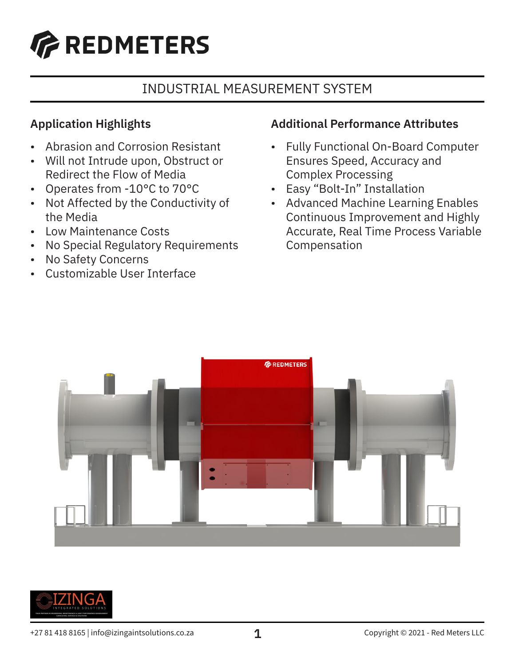

# INDUSTRIAL MEASUREMENT SYSTEM

## **Application Highlights**

- Abrasion and Corrosion Resistant
- Will not Intrude upon, Obstruct or Redirect the Flow of Media
- Operates from -10°C to 70°C
- Not Affected by the Conductivity of the Media
- Low Maintenance Costs
- No Special Regulatory Requirements
- No Safety Concerns
- Customizable User Interface

#### **Additional Performance Attributes**

- Fully Functional On-Board Computer Ensures Speed, Accuracy and Complex Processing
- Easy "Bolt-In" Installation
- Advanced Machine Learning Enables Continuous Improvement and Highly Accurate, Real Time Process Variable Compensation



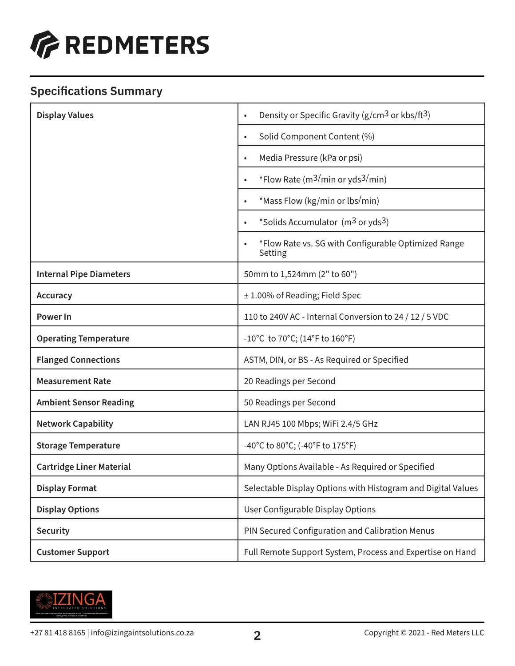

## **Specifications Summary**

| <b>Display Values</b>           | Density or Specific Gravity (g/cm <sup>3</sup> or kbs/ft <sup>3</sup> )<br>$\bullet$ |
|---------------------------------|--------------------------------------------------------------------------------------|
|                                 | Solid Component Content (%)<br>$\bullet$                                             |
|                                 | Media Pressure (kPa or psi)<br>$\bullet$                                             |
|                                 | *Flow Rate ( $m3/min$ or yds <sup>3/</sup> min)<br>$\bullet$                         |
|                                 | *Mass Flow (kg/min or lbs/min)<br>$\bullet$                                          |
|                                 | *Solids Accumulator (m <sup>3</sup> or yds <sup>3</sup> )<br>$\bullet$               |
|                                 | *Flow Rate vs. SG with Configurable Optimized Range<br>Setting                       |
| <b>Internal Pipe Diameters</b>  | 50mm to 1,524mm (2" to 60")                                                          |
| <b>Accuracy</b>                 | ± 1.00% of Reading; Field Spec                                                       |
| <b>Power In</b>                 | 110 to 240V AC - Internal Conversion to 24 / 12 / 5 VDC                              |
| <b>Operating Temperature</b>    | -10°C to 70°C; (14°F to 160°F)                                                       |
| <b>Flanged Connections</b>      | ASTM, DIN, or BS - As Required or Specified                                          |
| <b>Measurement Rate</b>         | 20 Readings per Second                                                               |
| <b>Ambient Sensor Reading</b>   | 50 Readings per Second                                                               |
| <b>Network Capability</b>       | LAN RJ45 100 Mbps; WiFi 2.4/5 GHz                                                    |
| <b>Storage Temperature</b>      | -40°C to 80°C; (-40°F to 175°F)                                                      |
| <b>Cartridge Liner Material</b> | Many Options Available - As Required or Specified                                    |
| <b>Display Format</b>           | Selectable Display Options with Histogram and Digital Values                         |
| <b>Display Options</b>          | User Configurable Display Options                                                    |
| <b>Security</b>                 | PIN Secured Configuration and Calibration Menus                                      |
| <b>Customer Support</b>         | Full Remote Support System, Process and Expertise on Hand                            |

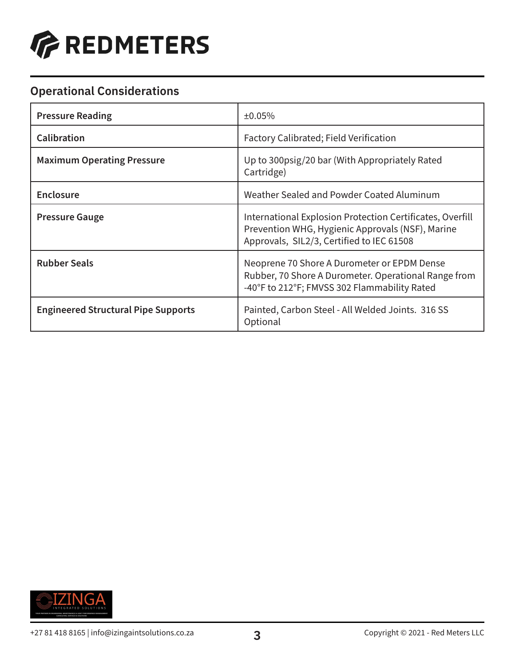

## **Operational Considerations**

| <b>Pressure Reading</b>                    | ±0.05%                                                                                                                                                     |
|--------------------------------------------|------------------------------------------------------------------------------------------------------------------------------------------------------------|
| <b>Calibration</b>                         | Factory Calibrated; Field Verification                                                                                                                     |
| <b>Maximum Operating Pressure</b>          | Up to 300psig/20 bar (With Appropriately Rated<br>Cartridge)                                                                                               |
| <b>Enclosure</b>                           | Weather Sealed and Powder Coated Aluminum                                                                                                                  |
| <b>Pressure Gauge</b>                      | International Explosion Protection Certificates, Overfill<br>Prevention WHG, Hygienic Approvals (NSF), Marine<br>Approvals, SIL2/3, Certified to IEC 61508 |
| <b>Rubber Seals</b>                        | Neoprene 70 Shore A Durometer or EPDM Dense<br>Rubber, 70 Shore A Durometer. Operational Range from<br>-40°F to 212°F; FMVSS 302 Flammability Rated        |
| <b>Engineered Structural Pipe Supports</b> | Painted, Carbon Steel - All Welded Joints. 316 SS<br>Optional                                                                                              |